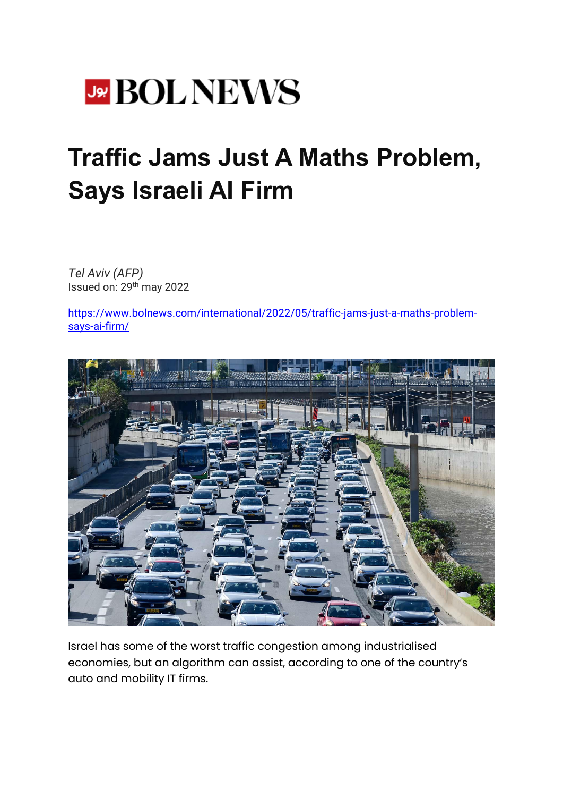

## **Traffic Jams Just A Maths Problem, Says Israeli AI Firm**

*Tel Aviv (AFP)* Issued on: 29th may 2022

[https://www.bolnews.com/international/2022/05/traffic-jams-just-a-maths-problem](https://www.bolnews.com/international/2022/05/traffic-jams-just-a-maths-problem-says-ai-firm/)[says-ai-firm/](https://www.bolnews.com/international/2022/05/traffic-jams-just-a-maths-problem-says-ai-firm/)



Israel has some of the worst traffic congestion among industrialised economies, but an algorithm can assist, according to one of the country's auto and mobility IT firms.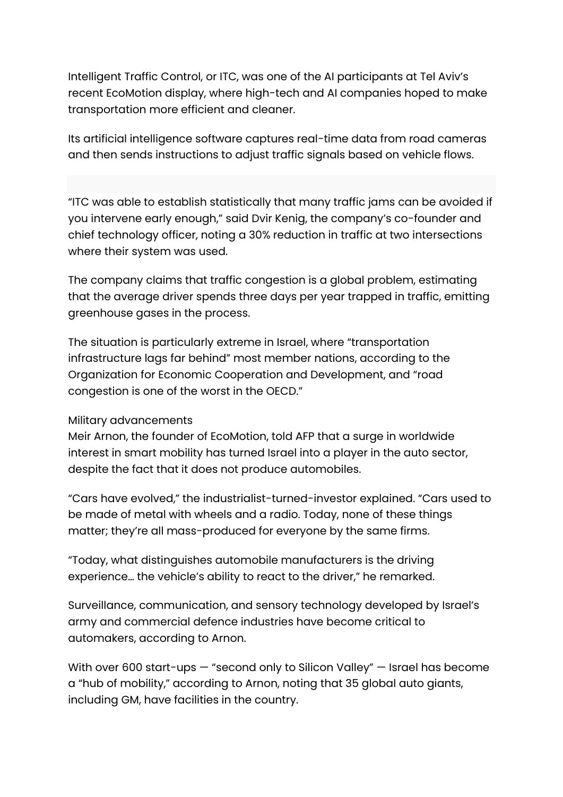Intelligent Traffic Control, or ITC, was one of the AI participants at Tel Aviv's recent EcoMotion display, where high-tech and AI companies hoped to make transportation more efficient and cleaner.

Its artificial intelligence software captures real-time data from road cameras and then sends instructions to adjust traffic signals based on vehicle flows.

"ITC was able to establish statistically that many traffic jams can be avoided if you intervene early enough," said Dvir Kenig, the company's co-founder and chief technology officer, noting a 30% reduction in traffic at two intersections where their system was used.

The company claims that traffic congestion is a global problem, estimating that the average driver spends three days per year trapped in traffic, emitting greenhouse gases in the process.

The situation is particularly extreme in Israel, where "transportation infrastructure lags far behind" most member nations, according to the Organization for Economic Cooperation and Development, and "road congestion is one of the worst in the OECD."

## Military advancements

Meir Arnon, the founder of EcoMotion, told AFP that a surge in worldwide interest in smart mobility has turned Israel into a player in the auto sector, despite the fact that it does not produce automobiles.

"Cars have evolved," the industrialist-turned-investor explained. "Cars used to be made of metal with wheels and a radio. Today, none of these things matter; they're all mass-produced for everyone by the same firms.

"Today, what distinguishes automobile manufacturers is the driving experience… the vehicle's ability to react to the driver," he remarked.

Surveillance, communication, and sensory technology developed by Israel's army and commercial defence industries have become critical to automakers, according to Arnon.

With over 600 start-ups – "second only to Silicon Valley" – Israel has become a "hub of mobility," according to Arnon, noting that 35 global auto giants, including GM, have facilities in the country.